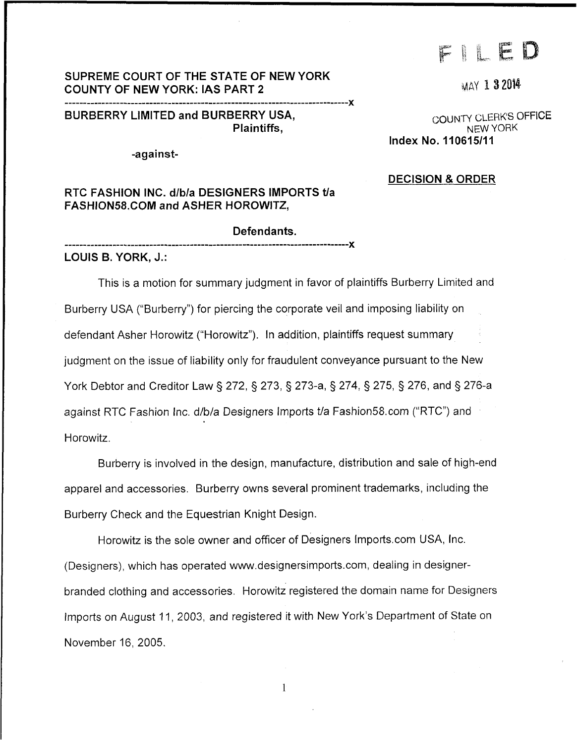# 

**MAY 1 3 2014** 

# **SUPREME COURT OF THE STATE OF NEW YORK COUNTY OF NEW YORK: IAS PART 2**

**<sup>X</sup>**............................................................................. **BURBERRY LIMITED and BURBERRY USA, BURBERRY CLERK'S OFFICE**<br>Plaintiffs. **Plaintiffs** 

**-against-**

### **RTC FASHION INC. d/b/a DESIGNERS IMPORTS tla [FASHION58.COM](http://FASHION58.COM) and ASHER HOROWITZ,**

#### **Defendants.**

*I.* 

**LOUIS B. YORK, J.:** 

This is a motion for summary judgment in favor of plaintiffs Burberry Limited and Burberry USA ("Burberry") for piercing the corporate veil and imposing liability on defendant Asher Horowitz ("Horowitz"). In addition, plaintiffs request summary judgment on the issue of liability only for fraudulent conveyance pursuant to the New York Debtor and Creditor Law § 272, § 273, § 273-a, § 274, § 275, § 276, and § 276-a against RTC Fashion Inc. d/b/a Designers Imports t/a [Fashion58.com](http://Fashion58.com) ("RTC") and Horowitz.

Burberry is involved in the design, manufacture, distribution and sale of high-end apparel and accessories. Burberry owns several prominent trademarks, including the Burberry Check and the Equestrian Knight Design.

Horowitz is the sole owner and officer of Designers [Imports.com](http://Imports.com) USA, Inc. (Designers), which has operated [www.designersimports.com,](http://www.designersimports.com) dealing in designerbranded ciothing and accessories. Horowitz registered the domain name for Designers Imports on August 11, 2003, and registered it with New York's Department of State on November 16, 2005.

**Plaintiffs,** NEW YORK **Index No. 110615/11** 

#### **DECISION** & **ORDER**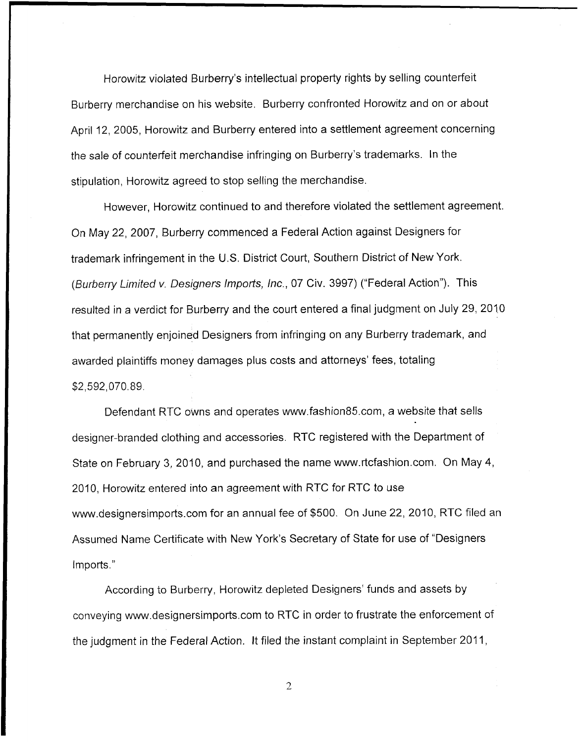Horowitz violated Burberry's intellectual property rights by selling counterfeit Burberry merchandise on his website. Burberry confronted Horowitz and on or about April 12, 2005, Horowitz and Burberry entered into a settlement agreement concerning the sale of counterfeit merchandise infringing on Burberry's trademarks. In the stipulation, Horowitz agreed to stop selling the merchandise.

However, Horowitz continued to and therefore violated the settlement agreement. On May 22, 2007, Burberry commenced a Federal Action against Designers for trademark infringement in the U.S. District Court, Southern District of New York. *(Burberry Limifed v. Designers Irnporfs, Inc.,* 07 Civ. 3997) ("Federal Action"). This resulted in a verdict for Burberry and the court entered a final judgment on July 29, 2010 that permanently enjoined Designers from infringing on any Burberry trademark, and awarded plaintiffs money damages plus costs and attorneys' fees, totaling \$2,592,070.89.

Defendant RTC owns and operates [www.fashion85.com,](http://www.fashion85.com) a website that sells designer-branded clothing and accessories. RTC registered with the Department of State on February 3, 2010, and purchased the name [www.rtcfashion.com.](http://www.rtcfashion.com) On May 4, 2010, Horowitz entered into an agreement with RTC for RTC to use [www.designersimports.com](http://www.designersimports.com) for an annual fee of \$500. On June 22, 2010, RTC filed an Assumed Name Certificate with New York's Secretary of State for use of "Designers Imports."

According to Burberry, Horowitz depleted Designers' funds and assets by conveying [www.designersimports.com](http://www.designersimports.com) to RTC in order to frustrate the enforcement of the judgment in the Federal Action. It filed the instant complaint in September 2011,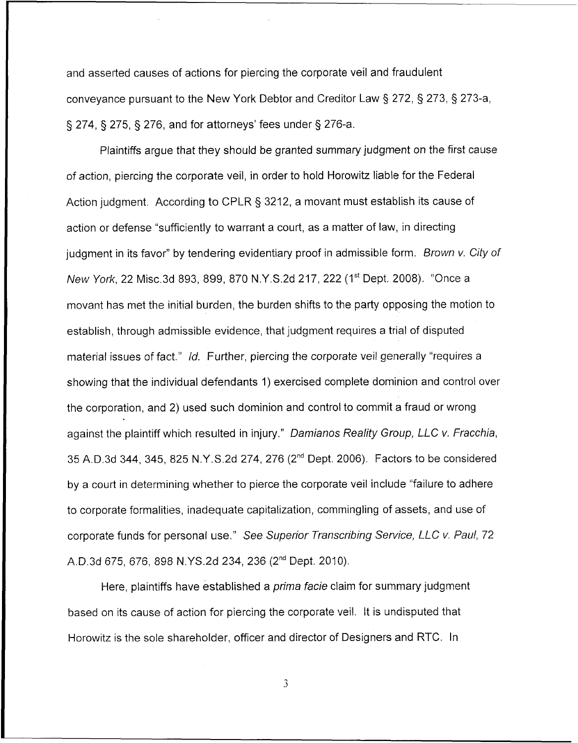and asserted causes of actions for piercing the corporate veil and fraudulent conveyance pursuant to the New York Debtor and Creditor Law 3 272, § 273, § 273-a, § 274, § 275, § 276, and for attorneys' fees under § 276-a.

Plaintiffs argue that they should be granted summary judgment on the first cause of action, piercing the corporate veil, in order to hold Horowitz liable for the Federal Action judgment. According to CPLR § 3212, a movant must establish its cause of action or defense "sufficiently to warrant a court, as a matter of law, in directing judgment in its favor" by tendering evidentiary proof in admissible form. *Brown v. City of New York*, 22 Misc.3d 893, 899, 870 N.Y.S.2d 217, 222 (1<sup>st</sup> Dept. 2008). "Once a movant has met the initial burden, the burden shifts to the party opposing the motion to establish, through admissible evidence, that judgment requires a trial of disputed material issues of fact." *Id.* Further, piercing the corporate veil generally "requires a showing that the individual defendants 1) exercised complete dominion and control over the corporation, and 2) used such dominion and control to commit a fraud or wrong against the plaintiff which resulted in injury." *Damianos Reality Group, LLC v. Fracchia,*  35 A.D.3d 344, 345, 825 N.Y.S.2d 274, 276 (2nd Dept. 2006). Factors to be considered by a court in determining whether to pierce the corporate veil include "failure to adhere to corporate formalities, inadequate capitalization, commingling of assets, and use of corporate funds for personal use." See *Superior Transcribing Service, LLC v. Paul,* 72 A.D.3d 675, 676, 898 N.YS.2d 234, 236 (2<sup>nd</sup> Dept. 2010).

Here, plaintiffs have established a *prima facie* claim for summary judgment based on its cause of action for piercing the corporate veil. It is undisputed that Horowitz is the sole shareholder, officer and director of Designers and RTC. In

 $\overline{3}$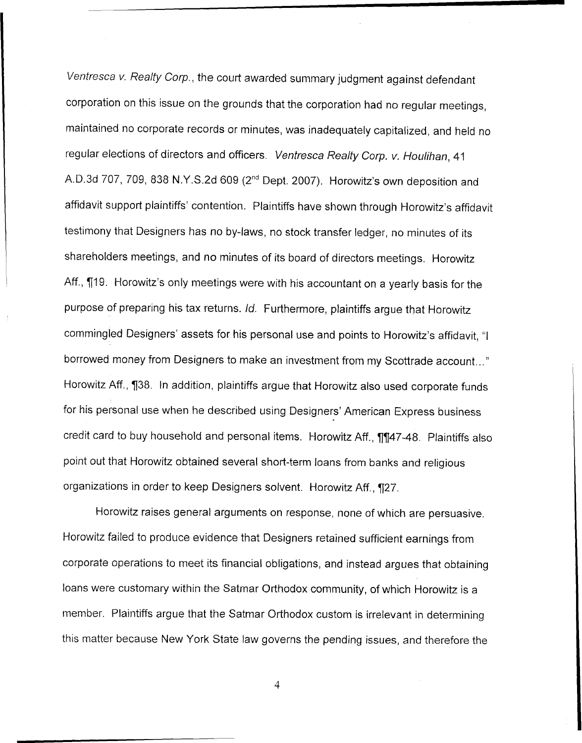*Ventresca v. Realty Corp.,* the court awarded summary judgment against defendant corporation on this issue on the grounds that the corporation had no regular meetings, maintained no corporate records or minutes, was inadequately capitalized, and held no regular elections of directors and officers. *Ventresca Realty Corp. v. Houlihan,* 41 A.D.3d 707, 709, 838 N.Y.S.2d 609 (2<sup>nd</sup> Dept. 2007). Horowitz's own deposition and affidavit support plaintiffs' contention. Plaintiffs have shown through Horowitz's affidavit testimony that Designers has no by-laws, no stock transfer ledger, no minutes of its shareholders meetings, and no minutes of its board of directors meetings. Horowitz Aff.,  $\P$ 19. Horowitz's only meetings were with his accountant on a yearly basis for the purpose of preparing his tax returns. Id. Furthermore, plaintiffs argue that Horowitz commingled Designers' assets for his personal use and points to Horowitz's affidavit, "I borrowed money from Designers to make an investment from my Scottrade account..." Horowitz Aff., **738.** In addition, plaintiffs argue that Horowitz also used corporate funds for his personal use when he described using Designers' American Express business credit card to buy household and personal items. Horowitz Aff., 11147-48. Plaintiffs also point out that Horowitz obtained several short-term loans from banks and religious organizations in order to keep Designers solvent. Horowitz Aff., [27.

Horowitz raises general arguments on response, none of which are persuasive. Horowitz failed to produce evidence that Designers retained sufficient earnings from corporate operations to meet its financial obligations, and instead argues that obtaining loans were customary within the Satmar Orthodox community, of which Horowitz is a member. Plaintiffs argue that the Satmar Orthodox custom is irrelevant in determining this matter because New York State law governs the pending issues, and therefore the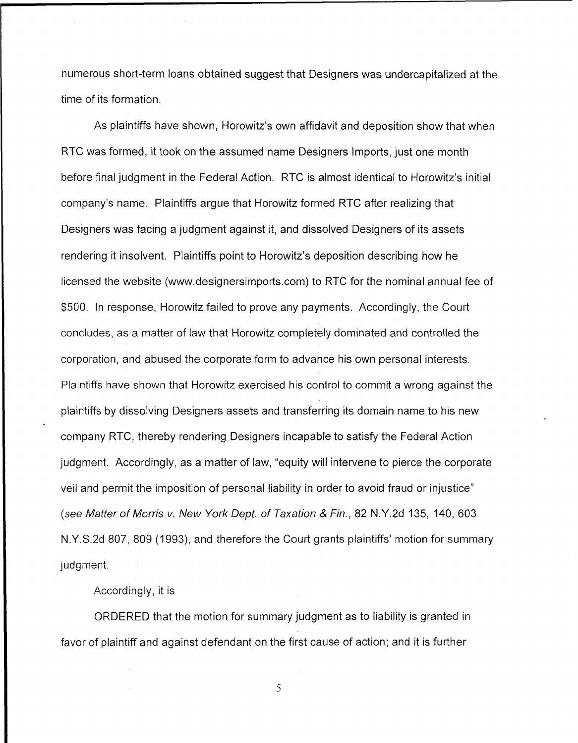numerous short-term loans obtained suggest that Designers was undercapitalized at the time of its formation.

As plaintiffs have shown, Horowitz's own affidavit and deposition show that when RTC was formed, it took on the assumed name Designers Imports, just one month before final judgment in the Federal Action. RTC is almost identical to Horowitz's initial company's name. Plaintiffs argue that Horowitz formed RTC after realizing that Designers was facing a judgment against it, and dissolved Designers of its assets rendering it insolvent. Plaintiffs point to Horowitz's deposition describing how he licensed the website (www.designersimports.com) to RTC for the nominal annual fee of \$500. In response, Horowitz failed to prove any payments. Accordingly, the Court concludes, as a matter of law that Horowitz completely dominated and controlled the corporation, and abused the corporate form to advance his own personal interests. Plaintiffs have shown that Horowitz exercised his control to commit a wrong against the plaintiffs by dissolving Designers assets and transferring its domain name to his new company RTC, thereby rendering Designers incapable to satisfy the Federal Action judgment. Accordingly, as a matter of law, "equity will intervene to pierce the corporate veil and permit the imposition of personal liability in order to avoid fraud or injustice" *(see Matter of Morris v. New York Dept. of Taxation* & *Fin.,* 82 N.Y.2d 135, 140, 603 N.Y.S.2d 807, 809 (1993), and therefore the Court grants plaintiffs' motion for summary judgment.

Accordingly, it is

ORDERED that the motion for summary judgment as to liability is granted in favor of plaintiff and against defendant on the first cause of action; and it is further